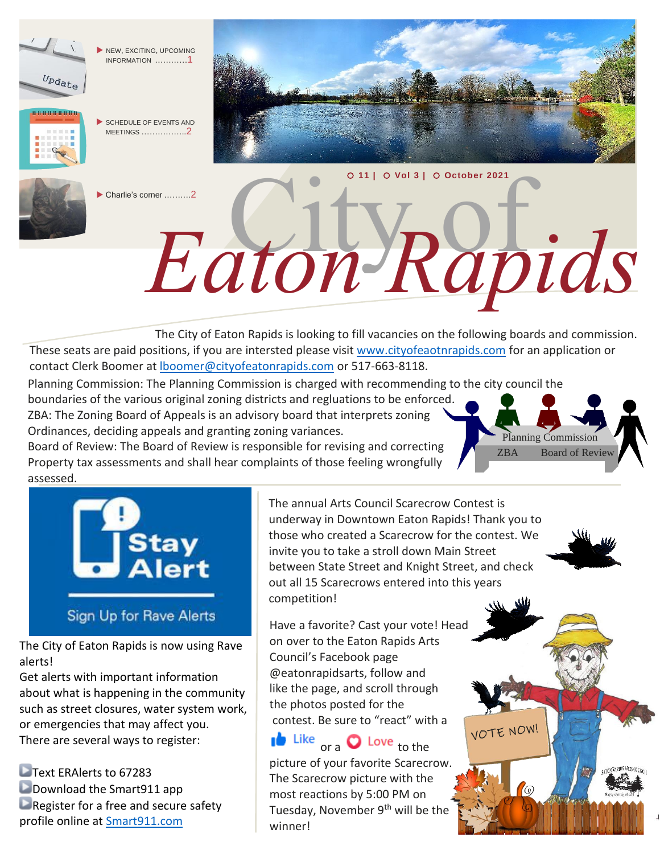

NEW, EXCITING, UPCOMING INFORMATION …………1

 SCHEDULE OF EVENTS AND MEETINGS ……………..2



Charlie's corner ……….2

**11 | Vol 3 | October 2021**

City of *Eaton Rapids*

 The City of Eaton Rapids is looking to fill vacancies on the following boards and commission. These seats are paid positions, if you are intersted please visit [www.cityofeaotnrapids.com](http://www.cityofeaotnrapids.com/) for an application or contact Clerk Boomer at **boomer@cityofeatonrapids.com** or 517-663-8118.

Planning Commission: The Planning Commission is charged with recommending to the city council the

boundaries of the various original zoning districts and regluations to be enforced. ZBA: The Zoning Board of Appeals is an advisory board that interprets zoning Ordinances, deciding appeals and granting zoning variances.

Board of Review: The Board of Review is responsible for revising and correcting Property tax assessments and shall hear complaints of those feeling wrongfully assessed.



The City of Eaton Rapids is now using Rave alerts!

Get alerts with important information about what is happening in the community such as street closures, water system work, or emergencies that may affect you. There are several ways to register:

Text ERAlerts to 67283 **Download the Smart911 app**  $\blacksquare$  Register for a free and secure safety profile online at [Smart911.com](http://smart911.com/?fbclid=IwAR2NEFTiC8ZxKCvbkga6ceJ2NmTd8m14w7X9KPphTgMAV7yDbAZ5w_KX46E)

The annual Arts Council Scarecrow Contest is underway in Downtown Eaton Rapids! Thank you to those who created a Scarecrow for the contest. We invite you to take a stroll down Main Street between State Street and Knight Street, and check out all 15 Scarecrows entered into this years competition!

Planning Commission ZBA Board of Review

VOTE NOW!

 $\sqrt{a}$ 

Have a favorite? Cast your vote! Head on over to the Eaton Rapids Arts Council's Facebook page @eatonrapidsarts, follow and like the page, and scroll through the photos posted for the contest. Be sure to "react" with a

 $\mathbf{I}^{\mathbf{b}}$  Like  $_{\text{ora}}$   $\mathbf{O}$  Love to the picture of your favorite Scarecrow. The Scarecrow picture with the most reactions by 5:00 PM on Tuesday, November 9<sup>th</sup> will be the winner!